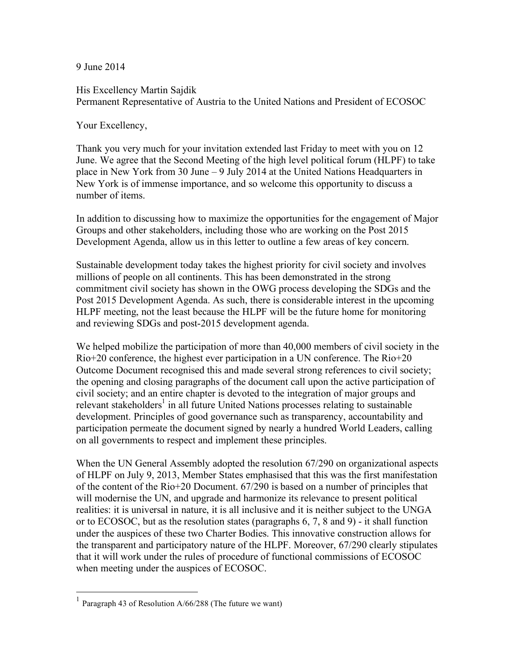9 June 2014

His Excellency Martin Sajdik Permanent Representative of Austria to the United Nations and President of ECOSOC

Your Excellency,

Thank you very much for your invitation extended last Friday to meet with you on 12 June. We agree that the Second Meeting of the high level political forum (HLPF) to take place in New York from 30 June – 9 July 2014 at the United Nations Headquarters in New York is of immense importance, and so welcome this opportunity to discuss a number of items.

In addition to discussing how to maximize the opportunities for the engagement of Major Groups and other stakeholders, including those who are working on the Post 2015 Development Agenda, allow us in this letter to outline a few areas of key concern.

Sustainable development today takes the highest priority for civil society and involves millions of people on all continents. This has been demonstrated in the strong commitment civil society has shown in the OWG process developing the SDGs and the Post 2015 Development Agenda. As such, there is considerable interest in the upcoming HLPF meeting, not the least because the HLPF will be the future home for monitoring and reviewing SDGs and post-2015 development agenda.

We helped mobilize the participation of more than 40,000 members of civil society in the Rio+20 conference, the highest ever participation in a UN conference. The Rio+20 Outcome Document recognised this and made several strong references to civil society; the opening and closing paragraphs of the document call upon the active participation of civil society; and an entire chapter is devoted to the integration of major groups and relevant stakeholders<sup>1</sup> in all future United Nations processes relating to sustainable development. Principles of good governance such as transparency, accountability and participation permeate the document signed by nearly a hundred World Leaders, calling on all governments to respect and implement these principles.

When the UN General Assembly adopted the resolution 67/290 on organizational aspects of HLPF on July 9, 2013, Member States emphasised that this was the first manifestation of the content of the Rio+20 Document. 67/290 is based on a number of principles that will modernise the UN, and upgrade and harmonize its relevance to present political realities: it is universal in nature, it is all inclusive and it is neither subject to the UNGA or to ECOSOC, but as the resolution states (paragraphs 6, 7, 8 and 9) - it shall function under the auspices of these two Charter Bodies. This innovative construction allows for the transparent and participatory nature of the HLPF. Moreover, 67/290 clearly stipulates that it will work under the rules of procedure of functional commissions of ECOSOC when meeting under the auspices of ECOSOC.

Paragraph 43 of Resolution A/66/288 (The future we want)